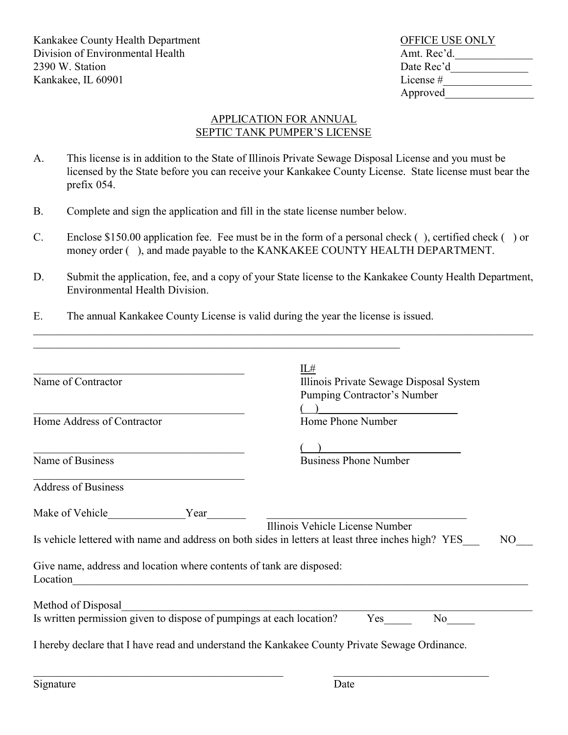Kankakee County Health Department County Area County Health Department Division of Environmental Health Amt. Rec'd. 2390 W. Station Date Rec'd Kankakee, IL  $60901$  License  $\#$  License  $\#$ 

## Approved\_\_\_\_\_\_\_\_\_\_\_\_\_\_\_\_

## APPLICATION FOR ANNUAL SEPTIC TANK PUMPER'S LICENSE

- A. This license is in addition to the State of Illinois Private Sewage Disposal License and you must be licensed by the State before you can receive your Kankakee County License. State license must bear the prefix 054.
- B. Complete and sign the application and fill in the state license number below.
- C. Enclose \$150.00 application fee. Fee must be in the form of a personal check ( ), certified check ( ) or money order (), and made payable to the KANKAKEE COUNTY HEALTH DEPARTMENT.
- D. Submit the application, fee, and a copy of your State license to the Kankakee County Health Department, Environmental Health Division.

 $\_$  , and the set of the set of the set of the set of the set of the set of the set of the set of the set of the set of the set of the set of the set of the set of the set of the set of the set of the set of the set of th

E. The annual Kankakee County License is valid during the year the license is issued.

| Name of Contractor                                                                                                                          | IL#<br>Illinois Private Sewage Disposal System<br>Pumping Contractor's Number |     |
|---------------------------------------------------------------------------------------------------------------------------------------------|-------------------------------------------------------------------------------|-----|
| Home Address of Contractor                                                                                                                  | Home Phone Number                                                             |     |
| Name of Business                                                                                                                            | <b>Business Phone Number</b>                                                  |     |
| <b>Address of Business</b>                                                                                                                  |                                                                               |     |
| Make of Vehicle<br>Year                                                                                                                     | Illinois Vehicle License Number                                               |     |
| Is vehicle lettered with name and address on both sides in letters at least three inches high? YES                                          |                                                                               | NO. |
| Give name, address and location where contents of tank are disposed:<br>Location<br><u> 1980 - Johann Barbara, martin amerikan basar da</u> |                                                                               |     |
| Method of Disposal                                                                                                                          |                                                                               |     |
| Is written permission given to dispose of pumpings at each location?                                                                        | Yes<br>N <sub>o</sub>                                                         |     |
| I hereby declare that I have read and understand the Kankakee County Private Sewage Ordinance.                                              |                                                                               |     |